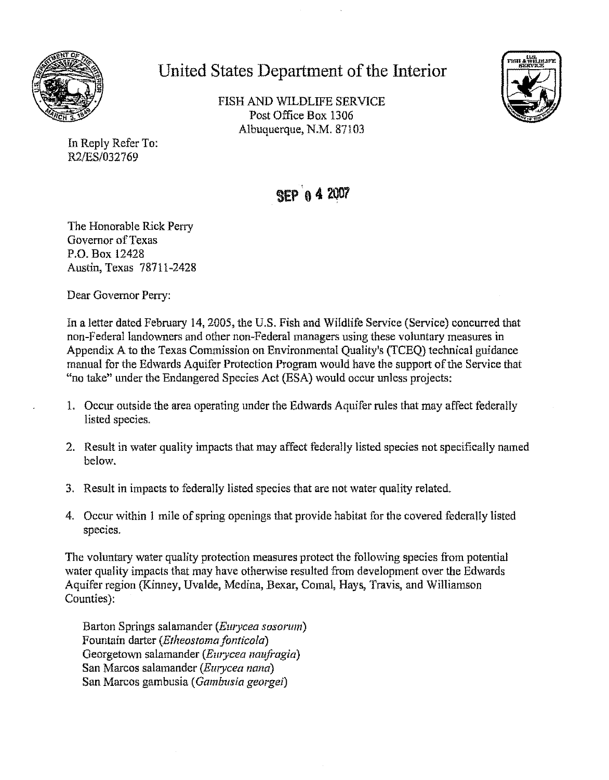

**United States Department of the Interior** 

FISH AND WILDLIFE SERVICE Post Office Box 1306 Albuquerque, N.M. 87103



In Reply Refer To: R2/ES/032769

## SEP 0 4 2007

The Honorable Rick Perry Governor of Texas P.O. Box 12428 Austin, Texas 78711-2428

Dear Governor Perry:

In a Jetter dated February **14,** 2005, the U.S. Fish and Wildlife Service (Service) concurred that non-Federal landowners and other non-Federal managers using these voluntary measures in Appendix A to the Texas Commission on Environmental Quality's (TCEQ) technical guidance manual for the Edwards Aquifer Protection Program would have the support ofthe Service that "no take" under the Endangered Species Act (ESA) would occur unless projects:

- 1. Occur outside the area operating under the Edwards Aquifer rules that may affect federally listed species.
- 2. Result in water quality impacts that may affect federally listed species not specifically named below.
- 3. Result in impacts to federally listed species that are not water quality related.
- 4. Occur within 1 mile of spring openings that provide habitat for the covered federally listed species.

The voluntary water quality protection measures protect the following species from potential water quality impacts that may have otherwise resulted from development over the Edwards Aquifer region (Kinney, Uvalde, Medina, Bexar, Comal, Hays, Travis, and Williamson Counties):

Barton Springs salamander *(Ewycea sosorum)*  Fountain darter *(Etheostoma fonticola)*  Georgetown salamander *(Emycea naufi·agia)*  San Marcos salamander *(Emycea nano)*  San Marcos gambusia *(Gambusia georgei)*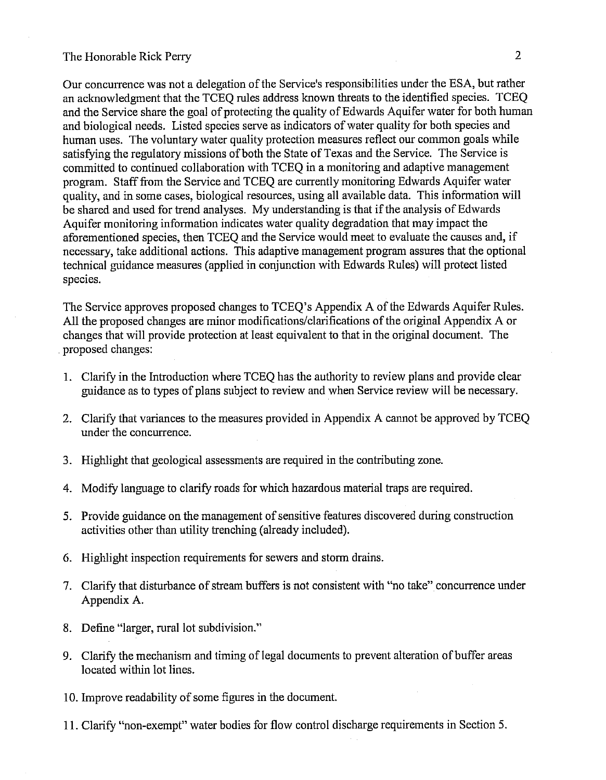## The Honorable Rick Perry 2

Our concurrence was not a delegation of the Service's responsibilities under the ESA, but rather an acknowledgment that the TCEQ rules address known threats to the identified species. TCEQ and the Service share the goal of protecting the quality of Edwards Aquifer water for both human and biological needs. Listed species serve as indicators of water quality for both species and human uses. The voluntary water quality protection measures reflect our common goals while satisfying the regulatory missions of both the State of Texas and the Service. The Service is committed to continued collaboration with TCEQ in a monitoring and adaptive management program. Staff from the Service and TCEQ are currently monitoring Edwards Aquifer water quality, and in some cases, biological resources, using all available data. This information will be shared and used for trend analyses. My understanding is that if the analysis of Edwards Aquifer monitoring information indicates water quality degradation that may impact the aforementioned species, then TCEQ and the Service would meet to evaluate the causes and, if necessary, take additional actions. This adaptive management program assures that the optional technical guidance measures ( applied in conjunction with Edwards Rules) will protect listed species.

The Service approves proposed changes to TCEQ's Appendix A of the Edwards Aquifer Rules. All the proposed changes are minor modifications/clarifications of the original Appendix A or changes that will provide protection at least equivalent to that in the original document. The proposed changes:

- 1. Clarify in the Introduction where TCEQ has the authority to review plans and provide clear guidance as to types of plans subject to review and when Service review will be necessary.
- 2. Clarify that variances to the measures provided in Appendix A cannot be approved by TCEQ under the concurrence.
- 3. Highlight that geological assessments are required in the contributing zone.
- 4. Modify language to clarify roads for which hazardous material traps are required.
- 5. Provide guidance on the management of sensitive features discovered during construction activities other than utility trenching (already included).
- 6. Highlight inspection requirements for sewers and storm drains.
- 7. Clarify that disturbance of stream buffers is not consistent with "no take" concurrence under Appendix A.
- 8. Define "larger, rural lot subdivision."
- 9. Clarify the mechanism and timing of legal documents to prevent alteration of buffer areas located within lot lines.
- 10. Improve readability of some figures in the document.
- 11. Clarify "non-exempt" water bodies for flow control discharge requirements in Section 5.